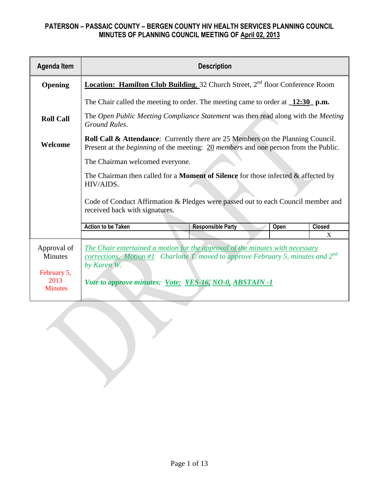| <b>Agenda Item</b>                           | <b>Description</b>                                                                                                                                                                              |                                                                                                 |  |  |
|----------------------------------------------|-------------------------------------------------------------------------------------------------------------------------------------------------------------------------------------------------|-------------------------------------------------------------------------------------------------|--|--|
| <b>Opening</b>                               |                                                                                                                                                                                                 | <b>Location: Hamilton Club Building, 32 Church Street, 2<sup>nd</sup> floor Conference Room</b> |  |  |
|                                              | The Chair called the meeting to order. The meeting came to order at $\frac{12:30}{2}$ p.m.                                                                                                      |                                                                                                 |  |  |
| <b>Roll Call</b>                             | Ground Rules.                                                                                                                                                                                   | The Open Public Meeting Compliance Statement was then read along with the Meeting               |  |  |
| Welcome                                      | <b>Roll Call &amp; Attendance:</b> Currently there are 25 Members on the Planning Council.<br>Present at the <i>beginning</i> of the meeting: 20 <i>members</i> and one person from the Public. |                                                                                                 |  |  |
|                                              | The Chairman welcomed everyone.                                                                                                                                                                 |                                                                                                 |  |  |
|                                              | The Chairman then called for a <b>Moment of Silence</b> for those infected $\&$ affected by<br>HIV/AIDS.                                                                                        |                                                                                                 |  |  |
|                                              | Code of Conduct Affirmation & Pledges were passed out to each Council member and<br>received back with signatures.                                                                              |                                                                                                 |  |  |
|                                              | <b>Action to be Taken</b><br><b>Responsible Party</b><br>Open                                                                                                                                   | <b>Closed</b>                                                                                   |  |  |
|                                              |                                                                                                                                                                                                 | X                                                                                               |  |  |
| Approval of<br><b>Minutes</b><br>February 5, | The Chair entertained a motion for the approval of the minutes with necessary<br><u>corrections. Motion #1</u> Charlotte T. moved to approve February 5, minutes and $2^{nd}$<br>by Karen W.    |                                                                                                 |  |  |
| 2013<br><b>Minutes</b>                       | Vote to approve minutes: Vote: YES-16, NO-0, ABSTAIN -1                                                                                                                                         |                                                                                                 |  |  |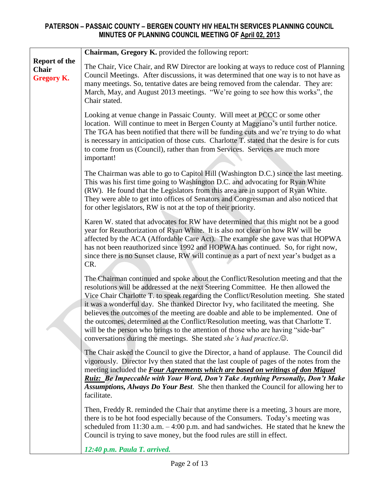|                                                    | Chairman, Gregory K. provided the following report:                                                                                                                                                                                                                                                                                                                                                                                                                                                                                                                                                                                                                                                              |
|----------------------------------------------------|------------------------------------------------------------------------------------------------------------------------------------------------------------------------------------------------------------------------------------------------------------------------------------------------------------------------------------------------------------------------------------------------------------------------------------------------------------------------------------------------------------------------------------------------------------------------------------------------------------------------------------------------------------------------------------------------------------------|
| <b>Report of the</b><br>Chair<br><b>Gregory K.</b> | The Chair, Vice Chair, and RW Director are looking at ways to reduce cost of Planning<br>Council Meetings. After discussions, it was determined that one way is to not have as<br>many meetings. So, tentative dates are being removed from the calendar. They are:<br>March, May, and August 2013 meetings. "We're going to see how this works", the<br>Chair stated.                                                                                                                                                                                                                                                                                                                                           |
|                                                    | Looking at venue change in Passaic County. Will meet at PCCC or some other<br>location. Will continue to meet in Bergen County at Maggiano's until further notice.<br>The TGA has been notified that there will be funding cuts and we're trying to do what<br>is necessary in anticipation of those cuts. Charlotte T. stated that the desire is for cuts<br>to come from us (Council), rather than from Services. Services are much more<br>important!                                                                                                                                                                                                                                                         |
|                                                    | The Chairman was able to go to Capitol Hill (Washington D.C.) since the last meeting.<br>This was his first time going to Washington D.C. and advocating for Ryan White<br>(RW). He found that the Legislators from this area are in support of Ryan White.<br>They were able to get into offices of Senators and Congressman and also noticed that<br>for other legislators, RW is not at the top of their priority.                                                                                                                                                                                                                                                                                            |
|                                                    | Karen W. stated that advocates for RW have determined that this might not be a good<br>year for Reauthorization of Ryan White. It is also not clear on how RW will be<br>affected by the ACA (Affordable Care Act). The example she gave was that HOPWA<br>has not been reauthorized since 1992 and HOPWA has continued. So, for right now,<br>since there is no Sunset clause, RW will continue as a part of next year's budget as a<br>CR.                                                                                                                                                                                                                                                                     |
|                                                    | The Chairman continued and spoke about the Conflict/Resolution meeting and that the<br>resolutions will be addressed at the next Steering Committee. He then allowed the<br>Vice Chair Charlotte T. to speak regarding the Conflict/Resolution meeting. She stated<br>it was a wonderful day. She thanked Director Ivy, who facilitated the meeting. She<br>believes the outcomes of the meeting are doable and able to be implemented. One of<br>the outcomes, determined at the Conflict/Resolution meeting, was that Charlotte T.<br>will be the person who brings to the attention of those who are having "side-bar"<br>conversations during the meetings. She stated <i>she's had practice</i> . $\odot$ . |
|                                                    | The Chair asked the Council to give the Director, a hand of applause. The Council did<br>vigorously. Director Ivy then stated that the last couple of pages of the notes from the<br>meeting included the Four Agreements which are based on writings of don Miguel<br>Ruiz: Be Impeccable with Your Word, Don't Take Anything Personally, Don't Make<br>Assumptions, Always Do Your Best. She then thanked the Council for allowing her to<br>facilitate.                                                                                                                                                                                                                                                       |
|                                                    | Then, Freddy R. reminded the Chair that anytime there is a meeting, 3 hours are more,<br>there is to be hot food especially because of the Consumers. Today's meeting was<br>scheduled from $11:30$ a.m. $-4:00$ p.m. and had sandwiches. He stated that he knew the<br>Council is trying to save money, but the food rules are still in effect.                                                                                                                                                                                                                                                                                                                                                                 |
|                                                    | 12:40 p.m. Paula T. arrived.                                                                                                                                                                                                                                                                                                                                                                                                                                                                                                                                                                                                                                                                                     |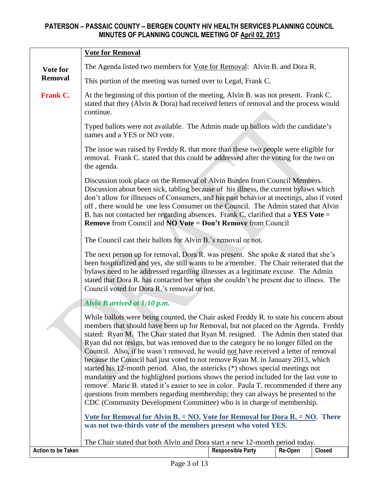|                                                                                                                                                                                                                                                                                                                                                                                                                                                                                                                                                                                                                                                                                                                                                                                                                                                                                                                                                                                                                                                                                                                                | <b>Vote for Removal</b>                                                                                                                                                                                                                                                                                                                                                                                                                                                                                               |  |  |  |
|--------------------------------------------------------------------------------------------------------------------------------------------------------------------------------------------------------------------------------------------------------------------------------------------------------------------------------------------------------------------------------------------------------------------------------------------------------------------------------------------------------------------------------------------------------------------------------------------------------------------------------------------------------------------------------------------------------------------------------------------------------------------------------------------------------------------------------------------------------------------------------------------------------------------------------------------------------------------------------------------------------------------------------------------------------------------------------------------------------------------------------|-----------------------------------------------------------------------------------------------------------------------------------------------------------------------------------------------------------------------------------------------------------------------------------------------------------------------------------------------------------------------------------------------------------------------------------------------------------------------------------------------------------------------|--|--|--|
| Vote for                                                                                                                                                                                                                                                                                                                                                                                                                                                                                                                                                                                                                                                                                                                                                                                                                                                                                                                                                                                                                                                                                                                       | The Agenda listed two members for Vote for Removal: Alvin B. and Dora R.                                                                                                                                                                                                                                                                                                                                                                                                                                              |  |  |  |
| <b>Removal</b>                                                                                                                                                                                                                                                                                                                                                                                                                                                                                                                                                                                                                                                                                                                                                                                                                                                                                                                                                                                                                                                                                                                 | This portion of the meeting was turned over to Legal, Frank C.                                                                                                                                                                                                                                                                                                                                                                                                                                                        |  |  |  |
| <b>Frank C.</b>                                                                                                                                                                                                                                                                                                                                                                                                                                                                                                                                                                                                                                                                                                                                                                                                                                                                                                                                                                                                                                                                                                                | At the beginning of this portion of the meeting, Alvin B. was not present. Frank C.<br>stated that they (Alvin & Dora) had received letters of removal and the process would<br>continue.                                                                                                                                                                                                                                                                                                                             |  |  |  |
|                                                                                                                                                                                                                                                                                                                                                                                                                                                                                                                                                                                                                                                                                                                                                                                                                                                                                                                                                                                                                                                                                                                                | Typed ballots were not available. The Admin made up ballots with the candidate's<br>names and a YES or NO vote.                                                                                                                                                                                                                                                                                                                                                                                                       |  |  |  |
|                                                                                                                                                                                                                                                                                                                                                                                                                                                                                                                                                                                                                                                                                                                                                                                                                                                                                                                                                                                                                                                                                                                                | The issue was raised by Freddy R. that more than these two people were eligible for<br>removal. Frank C. stated that this could be addressed after the voting for the two on<br>the agenda.                                                                                                                                                                                                                                                                                                                           |  |  |  |
|                                                                                                                                                                                                                                                                                                                                                                                                                                                                                                                                                                                                                                                                                                                                                                                                                                                                                                                                                                                                                                                                                                                                | Discussion took place on the Removal of Alvin Burden from Council Members.<br>Discussion about been sick, tabling because of his illness, the current bylaws which<br>don't allow for illnesses of Consumers, and his past behavior at meetings, also if voted<br>off, there would be one less Consumer on the Council. The Admin stated that Alvin<br>B. has not contacted her regarding absences. Frank C. clarified that a YES Vote =<br><b>Remove</b> from Council and <b>NO Vote = Don't Remove</b> from Council |  |  |  |
|                                                                                                                                                                                                                                                                                                                                                                                                                                                                                                                                                                                                                                                                                                                                                                                                                                                                                                                                                                                                                                                                                                                                | The Council cast their ballots for Alvin B.'s removal or not.                                                                                                                                                                                                                                                                                                                                                                                                                                                         |  |  |  |
| The next person up for removal, Dora R. was present. She spoke $\&$ stated that she's<br>been hospitalized and yes, she still wants to be a member. The Chair reiterated that the<br>bylaws need to be addressed regarding illnesses as a legitimate excuse. The Admin<br>stated that Dora R. has contacted her when she couldn't be present due to illness. The<br>Council voted for Dora R.'s removal or not.                                                                                                                                                                                                                                                                                                                                                                                                                                                                                                                                                                                                                                                                                                                |                                                                                                                                                                                                                                                                                                                                                                                                                                                                                                                       |  |  |  |
|                                                                                                                                                                                                                                                                                                                                                                                                                                                                                                                                                                                                                                                                                                                                                                                                                                                                                                                                                                                                                                                                                                                                | Alvin B arrived at 1:10 p.m.                                                                                                                                                                                                                                                                                                                                                                                                                                                                                          |  |  |  |
| While ballots were being counted, the Chair asked Freddy R. to state his concern about<br>members that should have been up for Removal, but not placed on the Agenda. Freddy<br>stated: Ryan M. The Chair stated that Ryan M. resigned. The Admin then stated that<br>Ryan did not resign, but was removed due to the category he no longer filled on the<br>Council. Also, if he wasn't removed, he would not have received a letter of removal<br>because the Council had just voted to not remove Ryan M. in January 2013, which<br>started his 12-month period. Also, the astericks (*) shows special meetings not<br>mandatory and the highlighted portions shows the period included for the last vote to<br>remove. Marie B. stated it's easier to see in color. Paula T. recommended if there any<br>questions from members regarding membership; they can always be presented to the<br>CDC (Community Development Committee) who is in charge of membership.<br><u>Vote for Removal for Alvin B. = NO, Vote for Removal for Dora R. = NO.</u> There<br>was not two-thirds vote of the members present who voted YES. |                                                                                                                                                                                                                                                                                                                                                                                                                                                                                                                       |  |  |  |
|                                                                                                                                                                                                                                                                                                                                                                                                                                                                                                                                                                                                                                                                                                                                                                                                                                                                                                                                                                                                                                                                                                                                | The Chair stated that both Alvin and Dora start a new 12-month period today.                                                                                                                                                                                                                                                                                                                                                                                                                                          |  |  |  |
| <b>Action to be Taken</b>                                                                                                                                                                                                                                                                                                                                                                                                                                                                                                                                                                                                                                                                                                                                                                                                                                                                                                                                                                                                                                                                                                      | <b>Responsible Party</b><br>Re-Open<br><b>Closed</b>                                                                                                                                                                                                                                                                                                                                                                                                                                                                  |  |  |  |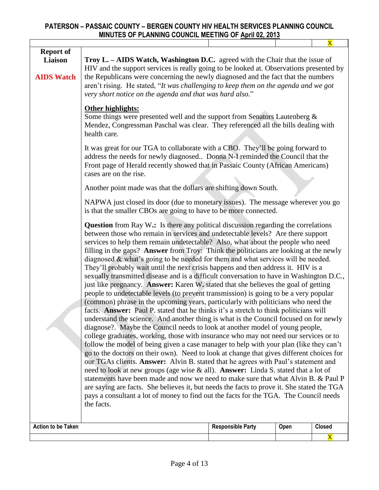|                                                  |                                                                                                                                                                                                                                                                                                                                                                                                                                                                                                                                                                                                                                                                                                                                                                                                                                                                                                                                                                                                                                                                                                                                                                                                                                                                                                                                                                                                                                                                                                                                                                                                                                                                                                                                                                                                                                                                                                                             |                          |      | $\overline{\textbf{X}}$ |  |
|--------------------------------------------------|-----------------------------------------------------------------------------------------------------------------------------------------------------------------------------------------------------------------------------------------------------------------------------------------------------------------------------------------------------------------------------------------------------------------------------------------------------------------------------------------------------------------------------------------------------------------------------------------------------------------------------------------------------------------------------------------------------------------------------------------------------------------------------------------------------------------------------------------------------------------------------------------------------------------------------------------------------------------------------------------------------------------------------------------------------------------------------------------------------------------------------------------------------------------------------------------------------------------------------------------------------------------------------------------------------------------------------------------------------------------------------------------------------------------------------------------------------------------------------------------------------------------------------------------------------------------------------------------------------------------------------------------------------------------------------------------------------------------------------------------------------------------------------------------------------------------------------------------------------------------------------------------------------------------------------|--------------------------|------|-------------------------|--|
| <b>Report of</b><br>Liaison<br><b>AIDS Watch</b> | Troy L. - AIDS Watch, Washington D.C. agreed with the Chair that the issue of<br>HIV and the support services is really going to be looked at. Observations presented by<br>the Republicans were concerning the newly diagnosed and the fact that the numbers<br>aren't rising. He stated, "It was challenging to keep them on the agenda and we got<br>very short notice on the agenda and that was hard also."                                                                                                                                                                                                                                                                                                                                                                                                                                                                                                                                                                                                                                                                                                                                                                                                                                                                                                                                                                                                                                                                                                                                                                                                                                                                                                                                                                                                                                                                                                            |                          |      |                         |  |
|                                                  | Other highlights:<br>Some things were presented well and the support from Senators Lautenberg $\&$<br>Mendez, Congressman Paschal was clear. They referenced all the bills dealing with<br>health care.                                                                                                                                                                                                                                                                                                                                                                                                                                                                                                                                                                                                                                                                                                                                                                                                                                                                                                                                                                                                                                                                                                                                                                                                                                                                                                                                                                                                                                                                                                                                                                                                                                                                                                                     |                          |      |                         |  |
|                                                  | It was great for our TGA to collaborate with a CBO. They'll be going forward to<br>address the needs for newly diagnosed Donna N-I reminded the Council that the<br>Front page of Herald recently showed that in Passaic County (African Americans)<br>cases are on the rise.                                                                                                                                                                                                                                                                                                                                                                                                                                                                                                                                                                                                                                                                                                                                                                                                                                                                                                                                                                                                                                                                                                                                                                                                                                                                                                                                                                                                                                                                                                                                                                                                                                               |                          |      |                         |  |
|                                                  | Another point made was that the dollars are shifting down South.                                                                                                                                                                                                                                                                                                                                                                                                                                                                                                                                                                                                                                                                                                                                                                                                                                                                                                                                                                                                                                                                                                                                                                                                                                                                                                                                                                                                                                                                                                                                                                                                                                                                                                                                                                                                                                                            |                          |      |                         |  |
|                                                  | NAPWA just closed its door (due to monetary issues). The message wherever you go<br>is that the smaller CBOs are going to have to be more connected.                                                                                                                                                                                                                                                                                                                                                                                                                                                                                                                                                                                                                                                                                                                                                                                                                                                                                                                                                                                                                                                                                                                                                                                                                                                                                                                                                                                                                                                                                                                                                                                                                                                                                                                                                                        |                          |      |                         |  |
|                                                  | <b>Question</b> from Ray W.: Is there any political discussion regarding the correlations<br>between those who remain in services and undetectable levels? Are there support<br>services to help them remain undetectable? Also, what about the people who need<br>filling in the gaps? Answer from Troy: Think the politicians are looking at the newly<br>diagnosed $\&$ what's going to be needed for them and what services will be needed.<br>They'll probably wait until the next crisis happens and then address it. HIV is a<br>sexually transmitted disease and is a difficult conversation to have in Washington D.C.,<br>just like pregnancy. Answer: Karen W. stated that she believes the goal of getting<br>people to undetectable levels (to prevent transmission) is going to be a very popular<br>(common) phrase in the upcoming years, particularly with politicians who need the<br>facts. Answer: Paul P. stated that he thinks it's a stretch to think politicians will<br>understand the science. And another thing is what is the Council focused on for newly<br>diagnose?. Maybe the Council needs to look at another model of young people,<br>college graduates, working, those with insurance who may not need our services or to<br>follow the model of being given a case manager to help with your plan (like they can't<br>go to the doctors on their own). Need to look at change that gives different choices for<br>our TGAs clients. Answer: Alvin B. stated that he agrees with Paul's statement and<br>need to look at new groups (age wise & all). Answer: Linda S. stated that a lot of<br>statements have been made and now we need to make sure that what Alvin B. & Paul P<br>are saying are facts. She believes it, but needs the facts to prove it. She stated the TGA<br>pays a consultant a lot of money to find out the facts for the TGA. The Council needs<br>the facts. |                          |      |                         |  |
| <b>Action to be Taken</b>                        |                                                                                                                                                                                                                                                                                                                                                                                                                                                                                                                                                                                                                                                                                                                                                                                                                                                                                                                                                                                                                                                                                                                                                                                                                                                                                                                                                                                                                                                                                                                                                                                                                                                                                                                                                                                                                                                                                                                             | <b>Responsible Party</b> | Open | <b>Closed</b>           |  |

X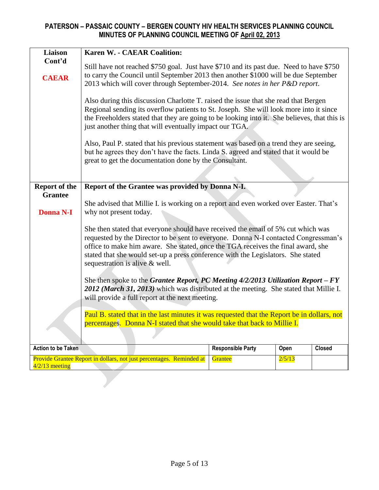| <b>Liaison</b>                         | <b>Karen W. - CAEAR Coalition:</b>                                                                                                                                                                                                                                                                                                                                                |                          |        |               |  |
|----------------------------------------|-----------------------------------------------------------------------------------------------------------------------------------------------------------------------------------------------------------------------------------------------------------------------------------------------------------------------------------------------------------------------------------|--------------------------|--------|---------------|--|
| Cont'd<br><b>CAEAR</b>                 | Still have not reached \$750 goal. Just have \$710 and its past due. Need to have \$750<br>to carry the Council until September 2013 then another \$1000 will be due September<br>2013 which will cover through September-2014. See notes in her P&D report.                                                                                                                      |                          |        |               |  |
|                                        | Also during this discussion Charlotte T. raised the issue that she read that Bergen<br>Regional sending its overflow patients to St. Joseph. She will look more into it since<br>the Freeholders stated that they are going to be looking into it. She believes, that this is<br>just another thing that will eventually impact our TGA.                                          |                          |        |               |  |
|                                        | Also, Paul P. stated that his previous statement was based on a trend they are seeing,<br>but he agrees they don't have the facts. Linda S. agreed and stated that it would be<br>great to get the documentation done by the Consultant.                                                                                                                                          |                          |        |               |  |
|                                        |                                                                                                                                                                                                                                                                                                                                                                                   |                          |        |               |  |
| <b>Report of the</b><br><b>Grantee</b> | Report of the Grantee was provided by Donna N-I.                                                                                                                                                                                                                                                                                                                                  |                          |        |               |  |
| <b>Donna N-I</b>                       | She advised that Millie I. is working on a report and even worked over Easter. That's<br>why not present today.                                                                                                                                                                                                                                                                   |                          |        |               |  |
|                                        | She then stated that everyone should have received the email of 5% cut which was<br>requested by the Director to be sent to everyone. Donna N-I contacted Congressman's<br>office to make him aware. She stated, once the TGA receives the final award, she<br>stated that she would set-up a press conference with the Legislators. She stated<br>sequestration is alive & well. |                          |        |               |  |
|                                        | She then spoke to the Grantee Report, PC Meeting $4/2/2013$ Utilization Report - FY<br>2012 (March 31, 2013) which was distributed at the meeting. She stated that Millie I.<br>will provide a full report at the next meeting.                                                                                                                                                   |                          |        |               |  |
|                                        | Paul B. stated that in the last minutes it was requested that the Report be in dollars, not<br>percentages. Donna N-I stated that she would take that back to Millie I.                                                                                                                                                                                                           |                          |        |               |  |
| <b>Action to be Taken</b>              |                                                                                                                                                                                                                                                                                                                                                                                   | <b>Responsible Party</b> | Open   | <b>Closed</b> |  |
| $4/2/13$ meeting                       | Provide Grantee Report in dollars, not just percentages. Reminded at                                                                                                                                                                                                                                                                                                              | Grantee                  | 2/5/13 |               |  |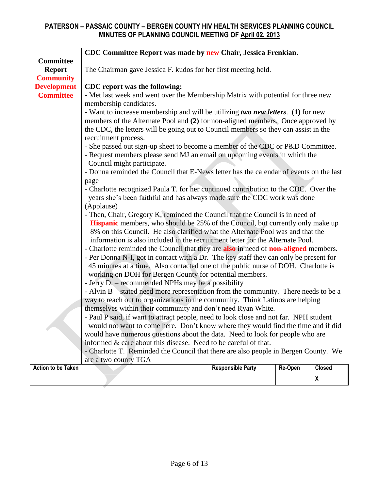|                           | CDC Committee Report was made by new Chair, Jessica Frenkian.                          |                          |         |                    |  |  |
|---------------------------|----------------------------------------------------------------------------------------|--------------------------|---------|--------------------|--|--|
| <b>Committee</b>          |                                                                                        |                          |         |                    |  |  |
| <b>Report</b>             | The Chairman gave Jessica F. kudos for her first meeting held.                         |                          |         |                    |  |  |
| <b>Community</b>          |                                                                                        |                          |         |                    |  |  |
| <b>Development</b>        | CDC report was the following:                                                          |                          |         |                    |  |  |
| <b>Committee</b>          | - Met last week and went over the Membership Matrix with potential for three new       |                          |         |                    |  |  |
|                           | membership candidates.                                                                 |                          |         |                    |  |  |
|                           | - Want to increase membership and will be utilizing two new letters. (1) for new       |                          |         |                    |  |  |
|                           | members of the Alternate Pool and (2) for non-aligned members. Once approved by        |                          |         |                    |  |  |
|                           | the CDC, the letters will be going out to Council members so they can assist in the    |                          |         |                    |  |  |
|                           | recruitment process.                                                                   |                          |         |                    |  |  |
|                           | - She passed out sign-up sheet to become a member of the CDC or P&D Committee.         |                          |         |                    |  |  |
|                           | - Request members please send MJ an email on upcoming events in which the              |                          |         |                    |  |  |
|                           | Council might participate.                                                             |                          |         |                    |  |  |
|                           | - Donna reminded the Council that E-News letter has the calendar of events on the last |                          |         |                    |  |  |
|                           | page                                                                                   |                          |         |                    |  |  |
|                           | - Charlotte recognized Paula T. for her continued contribution to the CDC. Over the    |                          |         |                    |  |  |
|                           | years she's been faithful and has always made sure the CDC work was done               |                          |         |                    |  |  |
|                           | (Applause)                                                                             |                          |         |                    |  |  |
|                           | - Then, Chair, Gregory K, reminded the Council that the Council is in need of          |                          |         |                    |  |  |
|                           | <b>Hispanic</b> members, who should be 25% of the Council, but currently only make up  |                          |         |                    |  |  |
|                           | 8% on this Council. He also clarified what the Alternate Pool was and that the         |                          |         |                    |  |  |
|                           | information is also included in the recruitment letter for the Alternate Pool.         |                          |         |                    |  |  |
|                           | - Charlotte reminded the Council that they are also in need of non-aligned members.    |                          |         |                    |  |  |
|                           | - Per Donna N-I, got in contact with a Dr. The key staff they can only be present for  |                          |         |                    |  |  |
|                           | 45 minutes at a time. Also contacted one of the public nurse of DOH. Charlotte is      |                          |         |                    |  |  |
|                           | working on DOH for Bergen County for potential members.                                |                          |         |                    |  |  |
|                           | - Jerry D. – recommended NPHs may be a possibility                                     |                          |         |                    |  |  |
|                           | - Alvin B – stated need more representation from the community. There needs to be a    |                          |         |                    |  |  |
|                           | way to reach out to organizations in the community. Think Latinos are helping          |                          |         |                    |  |  |
|                           | themselves within their community and don't need Ryan White.                           |                          |         |                    |  |  |
|                           | - Paul P said, if want to attract people, need to look close and not far. NPH student  |                          |         |                    |  |  |
|                           | would not want to come here. Don't know where they would find the time and if did      |                          |         |                    |  |  |
|                           | would have numerous questions about the data. Need to look for people who are          |                          |         |                    |  |  |
|                           | informed & care about this disease. Need to be careful of that.                        |                          |         |                    |  |  |
|                           | - Charlotte T. Reminded the Council that there are also people in Bergen County. We    |                          |         |                    |  |  |
|                           | are a two county TGA                                                                   |                          |         |                    |  |  |
| <b>Action to be Taken</b> |                                                                                        | <b>Responsible Party</b> | Re-Open | <b>Closed</b>      |  |  |
|                           |                                                                                        |                          |         | $\pmb{\mathsf{X}}$ |  |  |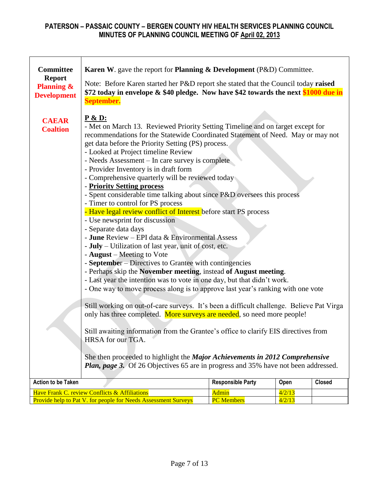| <b>Committee</b>                | <b>Karen W.</b> gave the report for <b>Planning &amp; Development</b> (P&D) Committee.    |                          |        |               |  |  |
|---------------------------------|-------------------------------------------------------------------------------------------|--------------------------|--------|---------------|--|--|
| <b>Report</b>                   |                                                                                           |                          |        |               |  |  |
| <b>Planning &amp;</b>           | Note: Before Karen started her P&D report she stated that the Council today raised        |                          |        |               |  |  |
| <b>Development</b>              | \$72 today in envelope & \$40 pledge. Now have \$42 towards the next \$1000 due in        |                          |        |               |  |  |
|                                 | September.                                                                                |                          |        |               |  |  |
|                                 | <u>P &amp; D:</u>                                                                         |                          |        |               |  |  |
| <b>CAEAR</b><br><b>Coaltion</b> | - Met on March 13. Reviewed Priority Setting Timeline and on target except for            |                          |        |               |  |  |
|                                 | recommendations for the Statewide Coordinated Statement of Need. May or may not           |                          |        |               |  |  |
|                                 | get data before the Priority Setting (PS) process.                                        |                          |        |               |  |  |
|                                 | - Looked at Project timeline Review                                                       |                          |        |               |  |  |
|                                 | - Needs Assessment – In care survey is complete<br>- Provider Inventory is in draft form  |                          |        |               |  |  |
|                                 | - Comprehensive quarterly will be reviewed today                                          |                          |        |               |  |  |
|                                 | - Priority Setting process                                                                |                          |        |               |  |  |
|                                 | - Spent considerable time talking about since P&D oversees this process                   |                          |        |               |  |  |
|                                 | - Timer to control for PS process                                                         |                          |        |               |  |  |
|                                 | - Have legal review conflict of Interest before start PS process                          |                          |        |               |  |  |
|                                 | - Use newsprint for discussion<br>- Separate data days                                    |                          |        |               |  |  |
|                                 | - June Review – EPI data & Environmental Assess                                           |                          |        |               |  |  |
|                                 | - July – Utilization of last year, unit of cost, etc.                                     |                          |        |               |  |  |
|                                 | - August – Meeting to Vote                                                                |                          |        |               |  |  |
|                                 | - September - Directives to Grantee with contingencies                                    |                          |        |               |  |  |
|                                 | - Perhaps skip the November meeting, instead of August meeting.                           |                          |        |               |  |  |
|                                 | - Last year the intention was to vote in one day, but that didn't work.                   |                          |        |               |  |  |
|                                 | - One way to move process along is to approve last year's ranking with one vote           |                          |        |               |  |  |
|                                 | Still working on out-of-care surveys. It's been a difficult challenge. Believe Pat Virga  |                          |        |               |  |  |
|                                 | only has three completed. More surveys are needed, so need more people!                   |                          |        |               |  |  |
|                                 |                                                                                           |                          |        |               |  |  |
|                                 | Still awaiting information from the Grantee's office to clarify EIS directives from       |                          |        |               |  |  |
|                                 | HRSA for our TGA.                                                                         |                          |        |               |  |  |
|                                 | She then proceeded to highlight the Major Achievements in 2012 Comprehensive              |                          |        |               |  |  |
|                                 | <b>Plan, page 3.</b> Of 26 Objectives 65 are in progress and 35% have not been addressed. |                          |        |               |  |  |
|                                 |                                                                                           |                          |        |               |  |  |
| <b>Action to be Taken</b>       |                                                                                           | <b>Responsible Party</b> | Open   | <b>Closed</b> |  |  |
|                                 | Have Frank C. review Conflicts & Affiliations                                             | Admin                    | 4/2/13 |               |  |  |
|                                 | Provide help to Pat V. for people for Needs Assessment Surveys                            | <b>PC</b> Members        | 4/2/13 |               |  |  |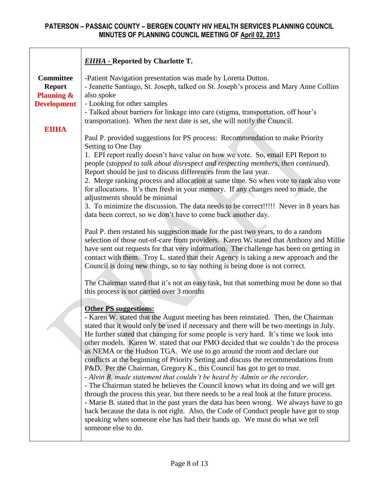|                                                                                  | <b>EIIHA - Reported by Charlotte T.</b>                                                                                                                                                                                                                                                                                                                                                                                                                                                                                                                                                                                                                                                                                                                                                                                                                                                                                                                                                                                                                                                                                                                                                                                                                                                                                                |
|----------------------------------------------------------------------------------|----------------------------------------------------------------------------------------------------------------------------------------------------------------------------------------------------------------------------------------------------------------------------------------------------------------------------------------------------------------------------------------------------------------------------------------------------------------------------------------------------------------------------------------------------------------------------------------------------------------------------------------------------------------------------------------------------------------------------------------------------------------------------------------------------------------------------------------------------------------------------------------------------------------------------------------------------------------------------------------------------------------------------------------------------------------------------------------------------------------------------------------------------------------------------------------------------------------------------------------------------------------------------------------------------------------------------------------|
| <b>Committee</b><br><b>Report</b><br><b>Planning &amp;</b><br><b>Development</b> | -Patient Navigation presentation was made by Loretta Dutton.<br>- Jeanette Santiago, St. Joseph, talked on St. Joseph's process and Mary Anne Collins<br>also spoke<br>- Looking for other samples<br>- Talked about barriers for linkage into care (stigma, transportation, off hour's<br>transportation). When the next date is set, she will notify the Council.                                                                                                                                                                                                                                                                                                                                                                                                                                                                                                                                                                                                                                                                                                                                                                                                                                                                                                                                                                    |
| <b>EIIHA</b><br>Setting to One Day<br>adjustments should be minimal              | Paul P. provided suggestions for PS process: Recommendation to make Priority<br>1. EPI report really doesn't have value on how we vote. So, email EPI Report to<br>people (stopped to talk about disrespect and respecting members, then continued).<br>Report should be just to discuss differences from the last year.<br>2. Merge ranking process and allocation at same time. So when vote to rank also vote<br>for allocations. It's then fresh in your memory. If any changes need to made, the<br>3. To minimize the discussion. The data needs to be correct!!!!! Never in 8 years has<br>data been correct, so we don't have to come back another day.<br>Paul P. then restated his suggestion made for the past two years, to do a random<br>selection of those out-of-care from providers. Karen W. stated that Anthony and Millie<br>have sent out requests for that very information. The challenge has been on getting in<br>contact with them. Troy L. stated that their Agency is taking a new approach and the<br>Council is doing new things, so to say nothing is being done is not correct.                                                                                                                                                                                                                        |
|                                                                                  | The Chairman stated that it's not an easy task, but that something must be done so that<br>this process is not carried over 3 months<br><b>Other PS suggestions:</b><br>- Karen W. stated that the August meeting has been reinstated. Then, the Chairman<br>stated that it would only be used if necessary and there will be two meetings in July.<br>He further stated that changing for some people is very hard. It's time we look into<br>other models. Karen W. stated that our PMO decided that we couldn't do the process<br>as NEMA or the Hudson TGA. We use to go around the room and declare our<br>conflicts at the beginning of Priority Setting and discuss the recommendations from<br>P&D. Per the Chairman, Gregory K., this Council has got to get to trust.<br>- Alvin B. made statement that couldn't be heard by Admin or the recorder.<br>- The Chairman stated he believes the Council knows what its doing and we will get<br>through the process this year, but there needs to be a real look at the future process.<br>- Marie B. stated that in the past years the data has been wrong. We always have to go<br>back because the data is not right. Also, the Code of Conduct people have got to stop<br>speaking when someone else has had their hands up. We must do what we tell<br>someone else to do. |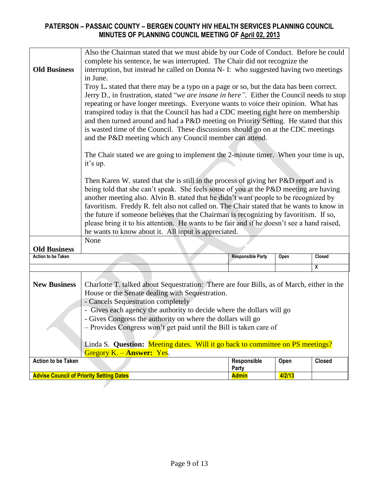|                           | Also the Chairman stated that we must abide by our Code of Conduct. Before he could                                                                                          |                          |        |               |  |
|---------------------------|------------------------------------------------------------------------------------------------------------------------------------------------------------------------------|--------------------------|--------|---------------|--|
|                           | complete his sentence, he was interrupted. The Chair did not recognize the                                                                                                   |                          |        |               |  |
| <b>Old Business</b>       | interruption, but instead he called on Donna N- I: who suggested having two meetings                                                                                         |                          |        |               |  |
|                           | in June.                                                                                                                                                                     |                          |        |               |  |
|                           | Troy L. stated that there may be a typo on a page or so, but the data has been correct.                                                                                      |                          |        |               |  |
|                           | Jerry D., in frustration, stated "we are insane in here". Either the Council needs to stop                                                                                   |                          |        |               |  |
|                           | repeating or have longer meetings. Everyone wants to voice their opinion. What has                                                                                           |                          |        |               |  |
|                           | transpired today is that the Council has had a CDC meeting right here on membership<br>and then turned around and had a P&D meeting on Priority Setting. He stated that this |                          |        |               |  |
|                           |                                                                                                                                                                              |                          |        |               |  |
|                           | is wasted time of the Council. These discussions should go on at the CDC meetings                                                                                            |                          |        |               |  |
|                           | and the P&D meeting which any Council member can attend.                                                                                                                     |                          |        |               |  |
|                           | The Chair stated we are going to implement the 2-minute timer. When your time is up,                                                                                         |                          |        |               |  |
|                           | it's up.                                                                                                                                                                     |                          |        |               |  |
|                           |                                                                                                                                                                              |                          |        |               |  |
|                           | Then Karen W. stated that she is still in the process of giving her P&D report and is                                                                                        |                          |        |               |  |
|                           | being told that she can't speak. She feels some of you at the P&D meeting are having                                                                                         |                          |        |               |  |
|                           | another meeting also. Alvin B. stated that he didn't want people to be recognized by                                                                                         |                          |        |               |  |
|                           | favoritism. Freddy R. felt also not called on. The Chair stated that he wants to know in                                                                                     |                          |        |               |  |
|                           | the future if someone believes that the Chairman is recognizing by favoritism. If so,                                                                                        |                          |        |               |  |
|                           | please bring it to his attention. He wants to be fair and if he doesn't see a hand raised,                                                                                   |                          |        |               |  |
|                           | he wants to know about it. All input is appreciated.                                                                                                                         |                          |        |               |  |
|                           | None                                                                                                                                                                         |                          |        |               |  |
| <b>Old Business</b>       |                                                                                                                                                                              |                          |        |               |  |
| <b>Action to be Taken</b> |                                                                                                                                                                              | <b>Responsible Party</b> | Open   | Closed        |  |
|                           |                                                                                                                                                                              |                          |        | X             |  |
|                           |                                                                                                                                                                              |                          |        |               |  |
| <b>New Business</b>       | Charlotte T. talked about Sequestration: There are four Bills, as of March, either in the                                                                                    |                          |        |               |  |
|                           | House or the Senate dealing with Sequestration.<br>- Cancels Sequestration completely                                                                                        |                          |        |               |  |
|                           | - Gives each agency the authority to decide where the dollars will go                                                                                                        |                          |        |               |  |
|                           | - Gives Congress the authority on where the dollars will go                                                                                                                  |                          |        |               |  |
|                           | - Provides Congress won't get paid until the Bill is taken care of                                                                                                           |                          |        |               |  |
|                           |                                                                                                                                                                              |                          |        |               |  |
|                           | Linda S. Question: Meeting dates. Will it go back to committee on PS meetings?                                                                                               |                          |        |               |  |
|                           | Gregory $K. -$ Answer: Yes.                                                                                                                                                  |                          |        |               |  |
| <b>Action to be Taken</b> |                                                                                                                                                                              | Responsible              | Open   | <b>Closed</b> |  |
|                           | <b>Advise Council of Priority Setting Dates</b>                                                                                                                              | Party<br><b>Admin</b>    | 4/2/13 |               |  |
|                           |                                                                                                                                                                              |                          |        |               |  |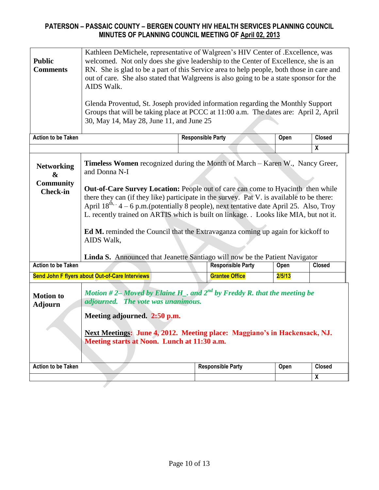| <b>Public</b><br><b>Comments</b>                                                                                                                                                                                                                                                                                           | Kathleen DeMichele, representative of Walgreen's HIV Center of .Excellence, was<br>welcomed. Not only does she give leadership to the Center of Excellence, she is an<br>RN. She is glad to be a part of this Service area to help people, both those in care and<br>out of care. She also stated that Walgreens is also going to be a state sponsor for the<br>AIDS Walk.<br>Glenda Proventud, St. Joseph provided information regarding the Monthly Support<br>Groups that will be taking place at PCCC at 11:00 a.m. The dates are: April 2, April<br>30, May 14, May 28, June 11, and June 25 |                          |        |                         |  |
|----------------------------------------------------------------------------------------------------------------------------------------------------------------------------------------------------------------------------------------------------------------------------------------------------------------------------|---------------------------------------------------------------------------------------------------------------------------------------------------------------------------------------------------------------------------------------------------------------------------------------------------------------------------------------------------------------------------------------------------------------------------------------------------------------------------------------------------------------------------------------------------------------------------------------------------|--------------------------|--------|-------------------------|--|
| <b>Action to be Taken</b>                                                                                                                                                                                                                                                                                                  |                                                                                                                                                                                                                                                                                                                                                                                                                                                                                                                                                                                                   | <b>Responsible Party</b> | Open   | <b>Closed</b>           |  |
|                                                                                                                                                                                                                                                                                                                            |                                                                                                                                                                                                                                                                                                                                                                                                                                                                                                                                                                                                   |                          |        | $\overline{\mathbf{x}}$ |  |
| <b>Networking</b><br>&<br><b>Community</b><br><b>Check-in</b>                                                                                                                                                                                                                                                              | <b>Timeless Women</b> recognized during the Month of March - Karen W., Nancy Greer,<br>and Donna N-I<br>Out-of-Care Survey Location: People out of care can come to Hyacinth then while<br>there they can (if they like) participate in the survey. Pat V. is available to be there:<br>April $18^{\text{th}} \cdot 4 - 6$ p.m.(potentially 8 people), next tentative date April 25. Also, Troy<br>L. recently trained on ARTIS which is built on linkage. . Looks like MIA, but not it.<br><b>Ed M.</b> reminded the Council that the Extravaganza coming up again for kickoff to<br>AIDS Walk,  |                          |        |                         |  |
| <b>Action to be Taken</b>                                                                                                                                                                                                                                                                                                  | Linda S. Announced that Jeanette Santiago will now be the Patient Navigator<br><b>Responsible Party</b><br>Closed<br>Open                                                                                                                                                                                                                                                                                                                                                                                                                                                                         |                          |        |                         |  |
|                                                                                                                                                                                                                                                                                                                            | Send John F flyers about Out-of-Care Interviews                                                                                                                                                                                                                                                                                                                                                                                                                                                                                                                                                   | <b>Grantee Office</b>    | 2/5/13 |                         |  |
| Motion #2-Moved by Elaine H_. and $2^{nd}$ by Freddy R. that the meeting be<br><b>Motion to</b><br>adjourned. The vote was unanimous.<br><b>Adjourn</b><br>Meeting adjourned. 2:50 p.m.<br><b>Next Meetings: June 4, 2012. Meeting place: Maggiano's in Hackensack, NJ.</b><br>Meeting starts at Noon. Lunch at 11:30 a.m. |                                                                                                                                                                                                                                                                                                                                                                                                                                                                                                                                                                                                   |                          |        |                         |  |
| <b>Action to be Taken</b>                                                                                                                                                                                                                                                                                                  |                                                                                                                                                                                                                                                                                                                                                                                                                                                                                                                                                                                                   | <b>Responsible Party</b> | Open   | <b>Closed</b>           |  |
|                                                                                                                                                                                                                                                                                                                            |                                                                                                                                                                                                                                                                                                                                                                                                                                                                                                                                                                                                   |                          |        | X                       |  |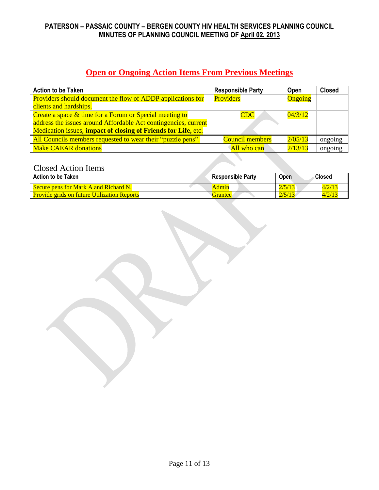# **Open or Ongoing Action Items From Previous Meetings**

| <b>Action to be Taken</b>                                          | <b>Responsible Party</b> | <b>Open</b> | <b>Closed</b> |
|--------------------------------------------------------------------|--------------------------|-------------|---------------|
| <b>Providers should document the flow of ADDP applications for</b> | Providers                | Ongoing     |               |
| clients and hardships.                                             |                          |             |               |
| Create a space $&$ time for a Forum or Special meeting to          | <b>CDC</b>               | 04/3/12     |               |
| address the issues around Affordable Act contingencies, current    |                          |             |               |
| Medication issues, impact of closing of Friends for Life, etc.     |                          |             |               |
| All Councils members requested to wear their "puzzle pens".        | <b>Council members</b>   | 2/05/13     | ongoing       |
| <b>Make CAEAR donations</b>                                        | All who can              | 2/13/13     | ongoing       |

# Closed Action Items

| <b>Action to be Taken</b>                          | <b>Responsible Party</b> | Open   | <b>Closed</b> |
|----------------------------------------------------|--------------------------|--------|---------------|
| Secure pens for Mark A and Richard N.              | Admin                    | 2/5/13 | 4/2/13        |
| <b>Provide grids on future Utilization Reports</b> | Grantee                  | 2/5/13 | 4/2/13        |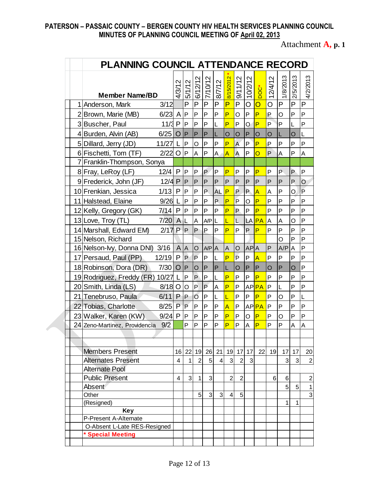Attachment **A, p. 1**

|  | PLANNING COUNCIL ATTENDANCE RECORD                                                                                          |                        |                                |                |                |              |                         |                     |                             |                |         |                 |          |                  |
|--|-----------------------------------------------------------------------------------------------------------------------------|------------------------|--------------------------------|----------------|----------------|--------------|-------------------------|---------------------|-----------------------------|----------------|---------|-----------------|----------|------------------|
|  |                                                                                                                             | 4/3/12                 | 5/1/12                         | 6/12/12        | 7/10/12        | 8/7/12       | 8/15/2012               | 9/11/12             | $\mathbf{\Omega}$<br>10/2/1 | DOC*           | 12/4/12 | 1/8/2013        | 2/5/2013 | 4/2/2013         |
|  | <b>Member Name/BD</b><br>1 Anderson, Mark<br>3/12                                                                           |                        | P                              | P              | P              | P            | P                       | P                   | O                           | $\mathsf O$    | O       | P               | P        | P                |
|  | 2 Brown, Marie (MB)                                                                                                         | $6/23$ A               | $\mathsf{P}$                   | P              | P              | P            | P                       | O                   | P                           | P              | P       | O               | P        | P                |
|  | 3 Buscher, Paul                                                                                                             | 11/3P                  | $\mathsf{P}$                   | P              | P              | L            | P                       | P                   | O                           | P              | P       | P               | L        | P                |
|  | 4 Burden, Alvin (AB)<br>6/25                                                                                                | O                      | $\overline{P}$                 | P              | P              | L            | $\circ$                 |                     | $\mathsf{P}$                | $\overline{O}$ |         | L               | O        | L                |
|  |                                                                                                                             | L                      | P                              | O              | P              | P            | P                       | O<br>$\overline{A}$ | P                           | P              | O<br>P  | P               | P        | P                |
|  | 5 Dillard, Jerry (JD)<br>11/27<br>6 Fischetti, Tom (TF)<br>2/22<br>7 Franklin-Thompson, Sonya<br>8 Fray, LeRoy (LF)<br>12/4 |                        | O<br>$\overline{P}$            | A              | P              | A.           | $\overline{A}$          | $\overline{A}$      | P                           | O              | P       | A               | P        | A                |
|  |                                                                                                                             |                        |                                |                |                |              |                         |                     |                             |                |         |                 |          |                  |
|  |                                                                                                                             |                        | P                              | P              | P              | P            | P                       | P                   | P                           | P              | P       | P               | P        | P                |
|  | 9 Frederick, John (JF)                                                                                                      | $\mathsf{P}$<br>12/4 P | ΙP                             | P              | P              | P            | P                       | P                   | $\mathsf{P}$                | $\overline{P}$ | P       | P               | P        | $\circ$          |
|  | 10 Frenkian, Jessica<br>1/13                                                                                                | P                      | P                              | P              | P.             | <b>AL</b>    | P                       | P                   | P                           | $\overline{A}$ | Α       | P               | O        | $\overline{P}$   |
|  | 11 Halstead, Elaine<br>9/26                                                                                                 | L                      | P                              | P              | P              | P            | P                       | P                   | $\circ$                     | P              | P       | P               | P        | P                |
|  | 7/14                                                                                                                        | P                      | P                              | P              |                | P            | P                       | P                   | P                           | P              | P       | P               |          | P                |
|  | 12 Kelly, Gregory (GK)                                                                                                      |                        |                                |                | P              |              |                         |                     |                             |                |         |                 | P        | P                |
|  | 13 Love, Troy (TL)                                                                                                          | 7/20 AL                |                                | A<br>P         | AP L           |              | Ĺ                       | L                   |                             | LA <b>PA</b>   | A       | A               | O        |                  |
|  | 14 Marshall, Edward EM)<br>15 Nelson, Richard                                                                               | $2/17$ P P             |                                |                | P              | P            | P                       | P                   | P                           | P              | P       | P<br>O          | P<br>P   | P<br>P           |
|  | 3/16<br>16 Nelson-lvy, Donna DNI)                                                                                           |                        | A A                            | O              | AP A           |              | A                       | $\circ$             | <b>APA</b>                  |                | P       | A/P             | Α        | P                |
|  | 12/19<br>17 Persaud, Paul (PP)                                                                                              | $\mathsf{P}$           | <b>P</b>                       | P              | P              | L            | P                       | P                   | P                           | A              | P       | P               | P        | P                |
|  | 18 Robinson, Dora (DR)<br>7/30                                                                                              | O                      | $\mathsf{P}$                   | $\circ$        | $\mathsf{P}$   | $\mathsf{P}$ | L                       | O                   | $\mathsf{P}$                | $\mathsf{P}$   | O       | P               | O        | P                |
|  | 19 Rodriguez, Freddy (FR)<br>10/27 L                                                                                        |                        | P                              | P              | P              | L            | P                       | P                   | P                           | P              | P       | P               | P        | P                |
|  | 20 Smith, Linda (LS)                                                                                                        | $8/18$ O               | O                              | P              | $\overline{P}$ | A            | P                       | P                   |                             | AP <b>PA</b>   | P       | L               | P        | P                |
|  | 21 Tenebruso, Paula<br>6/11                                                                                                 | P                      | P                              | $\overline{O}$ | P              | L            | Ĺ                       | P                   | P                           | P              | P       | O               | P        | L                |
|  | 22 Tobias, Charlotte<br>8/25                                                                                                | P                      | P                              | P              | P              | P            | $\overline{\mathsf{A}}$ | P                   |                             | AP <b>PA</b>   | P       | P               | P        | P                |
|  | 23 Walker, Karen (KW)                                                                                                       | $9/24$ P               | P                              | P              | P              | P            | P                       | P                   | O                           | $\overline{P}$ | P       | $\circ$         | P        | P                |
|  | 9/2<br>24 Zeno-Martinez, Providencia                                                                                        |                        | P                              | P              | P              | P            | P                       | P                   | A                           | P              | P       | P               | A        | A                |
|  |                                                                                                                             |                        |                                |                |                |              |                         |                     |                             |                |         |                 |          |                  |
|  |                                                                                                                             |                        |                                |                |                |              |                         |                     |                             |                |         |                 |          |                  |
|  | <b>Members Present</b>                                                                                                      |                        | 16 22                          |                | 19 26 21       |              |                         | 19 17 17            |                             | 22             | 19      | 17 <sup>1</sup> | 17       | 20               |
|  | <b>Alternates Present</b><br><b>Alternate Pool</b><br><b>Public Present</b>                                                 |                        | $\overline{4}$<br>$\mathbf{1}$ | $\overline{2}$ | 5              | 4            | $\mathsf 3$             | $\overline{2}$      | 3                           |                |         | 3               | 3        | $\boldsymbol{2}$ |
|  |                                                                                                                             |                        |                                |                |                |              |                         |                     |                             |                |         |                 |          |                  |
|  |                                                                                                                             |                        | 3<br>$\overline{\mathbf{4}}$   | 1              | 3              |              | $\overline{2}$          | $\overline{2}$      |                             |                | 6       | 6               |          | $\overline{c}$   |
|  | Absent                                                                                                                      |                        |                                |                |                |              |                         |                     |                             |                |         | 5               | 5        | $\mathbf{1}$     |
|  | Other                                                                                                                       |                        |                                | 5              | 3              | 3            | 4                       | 5                   |                             |                |         | 1               | 1        | $\overline{3}$   |
|  | (Resigned)<br><b>Key</b><br>P-Present A-Alternate                                                                           |                        |                                |                |                |              |                         |                     |                             |                |         |                 |          |                  |
|  |                                                                                                                             |                        |                                |                |                |              |                         |                     |                             |                |         |                 |          |                  |
|  | O-Absent L-Late RES-Resigned                                                                                                |                        |                                |                |                |              |                         |                     |                             |                |         |                 |          |                  |
|  | * Special Meeting                                                                                                           |                        |                                |                |                |              |                         |                     |                             |                |         |                 |          |                  |
|  |                                                                                                                             |                        |                                |                |                |              |                         |                     |                             |                |         |                 |          |                  |